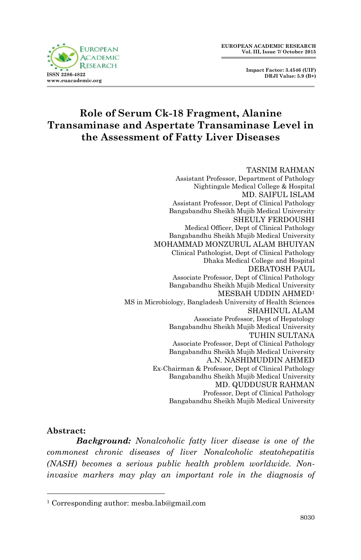**Impact Factor: 3.4546 (UIF) DRJI Value: 5.9 (B+)**



# **Role of Serum Ck-18 Fragment, Alanine Transaminase and Aspertate Transaminase Level in the Assessment of Fatty Liver Diseases**

#### TASNIM RAHMAN Assistant Professor, Department of Pathology Nightingale Medical College & Hospital MD. SAIFUL ISLAM Assistant Professor, Dept of Clinical Pathology Bangabandhu Sheikh Mujib Medical University SHEULY FERDOUSHI Medical Officer, Dept of Clinical Pathology Bangabandhu Sheikh Mujib Medical University MOHAMMAD MONZURUL ALAM BHUIYAN Clinical Pathologist, Dept of Clinical Pathology Dhaka Medical College and Hospital DEBATOSH PAUL Associate Professor, Dept of Clinical Pathology Bangabandhu Sheikh Mujib Medical University MESBAH UDDIN AHMED<sup>1</sup> MS in Microbiology, Bangladesh University of Health Sciences SHAHINUL ALAM Associate Professor, Dept of Hepatology Bangabandhu Sheikh Mujib Medical University TUHIN SULTANA Associate Professor, Dept of Clinical Pathology Bangabandhu Sheikh Mujib Medical University A.N. NASHIMUDDIN AHMED Ex-Chairman & Professor, Dept of Clinical Pathology Bangabandhu Sheikh Mujib Medical University MD. QUDDUSUR RAHMAN Professor, Dept of Clinical Pathology Bangabandhu Sheikh Mujib Medical University

### **Abstract:**

1

*Background: Nonalcoholic fatty liver disease is one of the commonest chronic diseases of liver Nonalcoholic steatohepatitis (NASH) becomes a serious public health problem worldwide. Noninvasive markers may play an important role in the diagnosis of* 

<sup>1</sup> Corresponding author: mesba.lab@gmail.com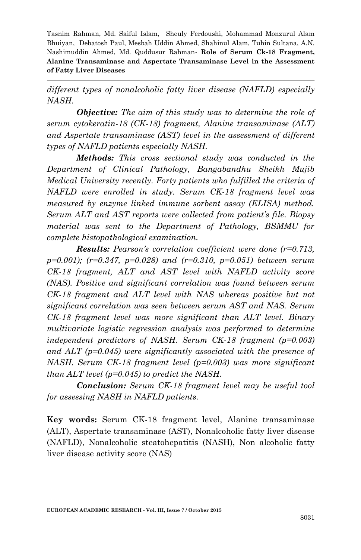*different types of nonalcoholic fatty liver disease (NAFLD) especially NASH.* 

*Objective: The aim of this study was to determine the role of serum cytokeratin-18 (CK-18) fragment, Alanine transaminase (ALT) and Aspertate transaminase (AST) level in the assessment of different types of NAFLD patients especially NASH.* 

*Methods: This cross sectional study was conducted in the Department of Clinical Pathology, Bangabandhu Sheikh Mujib Medical University recently. Forty patients who fulfilled the criteria of NAFLD were enrolled in study. Serum CK-18 fragment level was measured by enzyme linked immune sorbent assay (ELISA) method. Serum ALT and AST reports were collected from patient's file. Biopsy material was sent to the Department of Pathology, BSMMU for complete histopathological examination.* 

*Results: Pearson's correlation coefficient were done (r=0.713, p=0.001); (r=0.347, p=0.028) and (r=0.310, p=0.051) between serum CK-18 fragment, ALT and AST level with NAFLD activity score (NAS). Positive and significant correlation was found between serum CK-18 fragment and ALT level with NAS whereas positive but not significant correlation was seen between serum AST and NAS. Serum CK-18 fragment level was more significant than ALT level. Binary multivariate logistic regression analysis was performed to determine independent predictors of NASH. Serum CK-18 fragment (p=0.003) and ALT (p=0.045) were significantly associated with the presence of NASH. Serum CK-18 fragment level (p=0.003) was more significant than ALT level (p=0.045) to predict the NASH.*

*Conclusion: Serum CK-18 fragment level may be useful tool for assessing NASH in NAFLD patients.*

**Key words:** Serum CK-18 fragment level, Alanine transaminase (ALT), Aspertate transaminase (AST), Nonalcoholic fatty liver disease (NAFLD), Nonalcoholic steatohepatitis (NASH), Non alcoholic fatty liver disease activity score (NAS)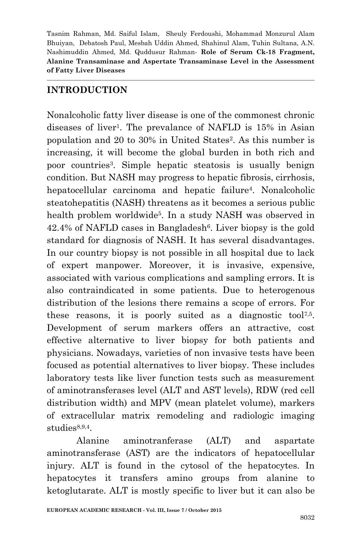### **INTRODUCTION**

Nonalcoholic fatty liver disease is one of the commonest chronic diseases of liver<sup>1</sup>. The prevalance of NAFLD is 15% in Asian population and 20 to 30% in United States<sup>2</sup> . As this number is increasing, it will become the global burden in both rich and poor countries<sup>3</sup> . Simple hepatic steatosis is usually benign condition. But NASH may progress to hepatic fibrosis, cirrhosis, hepatocellular carcinoma and hepatic failure<sup>4</sup> . Nonalcoholic steatohepatitis (NASH) threatens as it becomes a serious public health problem worldwide<sup>5</sup> . In a study NASH was observed in 42.4% of NAFLD cases in Bangladesh<sup>6</sup>. Liver biopsy is the gold standard for diagnosis of NASH. It has several disadvantages. In our country biopsy is not possible in all hospital due to lack of expert manpower. Moreover, it is invasive, expensive, associated with various complications and sampling errors. It is also contraindicated in some patients. Due to heterogenous distribution of the lesions there remains a scope of errors. For these reasons, it is poorly suited as a diagnostic tool<sup>7,5</sup>. Development of serum markers offers an attractive, cost effective alternative to liver biopsy for both patients and physicians. Nowadays, varieties of non invasive tests have been focused as potential alternatives to liver biopsy. These includes laboratory tests like liver function tests such as measurement of aminotransferases level (ALT and AST levels), RDW (red cell distribution width) and MPV (mean platelet volume), markers of extracellular matrix remodeling and radiologic imaging studies<sup>8,9,4</sup>.

Alanine aminotranferase (ALT) and aspartate aminotransferase (AST) are the indicators of hepatocellular injury. ALT is found in the cytosol of the hepatocytes. In hepatocytes it transfers amino groups from alanine to ketoglutarate. ALT is mostly specific to liver but it can also be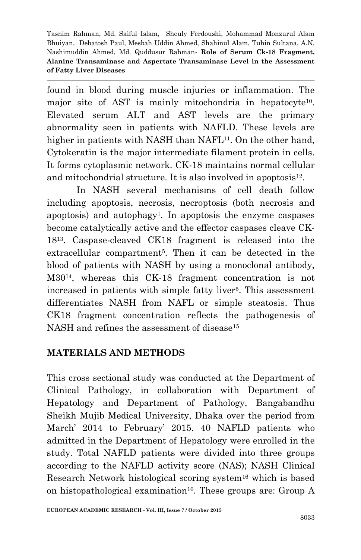found in blood during muscle injuries or inflammation. The major site of AST is mainly mitochondria in hepatocyte<sup>10</sup>. Elevated serum ALT and AST levels are the primary abnormality seen in patients with NAFLD. These levels are higher in patients with NASH than NAFL<sup>11</sup>. On the other hand, Cytokeratin is the major intermediate filament protein in cells. It forms cytoplasmic network. CK-18 maintains normal cellular and mitochondrial structure. It is also involved in apoptosis<sup>12</sup>.

In NASH several mechanisms of cell death follow including apoptosis, necrosis, necroptosis (both necrosis and apoptosis) and autophagy<sup>1</sup> . In apoptosis the enzyme caspases become catalytically active and the effector caspases cleave CK-18<sup>13</sup> . Caspase-cleaved CK18 fragment is released into the extracellular compartment<sup>5</sup>. Then it can be detected in the blood of patients with NASH by using a monoclonal antibody, M30<sup>14</sup> , whereas this CK-18 fragment concentration is not increased in patients with simple fatty liver<sup>5</sup>. This assessment differentiates NASH from NAFL or simple steatosis. Thus CK18 fragment concentration reflects the pathogenesis of NASH and refines the assessment of disease<sup>15</sup>

## **MATERIALS AND METHODS**

This cross sectional study was conducted at the Department of Clinical Pathology, in collaboration with Department of Hepatology and Department of Pathology, Bangabandhu Sheikh Mujib Medical University, Dhaka over the period from March' 2014 to February' 2015. 40 NAFLD patients who admitted in the Department of Hepatology were enrolled in the study. Total NAFLD patients were divided into three groups according to the NAFLD activity score (NAS); NASH Clinical Research Network histological scoring system<sup>16</sup> which is based on histopathological examination<sup>16</sup>. These groups are: Group  $A$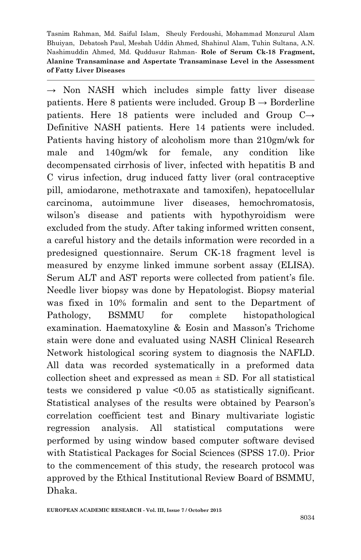$\rightarrow$  Non NASH which includes simple fatty liver disease patients. Here 8 patients were included. Group  $B \rightarrow B$ orderline patients. Here 18 patients were included and Group  $C \rightarrow$ Definitive NASH patients. Here 14 patients were included. Patients having history of alcoholism more than 210gm/wk for male and 140gm/wk for female, any condition like decompensated cirrhosis of liver, infected with hepatitis B and C virus infection, drug induced fatty liver (oral contraceptive pill, amiodarone, methotraxate and tamoxifen), hepatocellular carcinoma, autoimmune liver diseases, hemochromatosis, wilson's disease and patients with hypothyroidism were excluded from the study. After taking informed written consent, a careful history and the details information were recorded in a predesigned questionnaire. Serum CK-18 fragment level is measured by enzyme linked immune sorbent assay (ELISA). Serum ALT and AST reports were collected from patient's file. Needle liver biopsy was done by Hepatologist. Biopsy material was fixed in 10% formalin and sent to the Department of Pathology, BSMMU for complete histopathological examination. Haematoxyline & Eosin and Masson's Trichome stain were done and evaluated using NASH Clinical Research Network histological scoring system to diagnosis the NAFLD. All data was recorded systematically in a preformed data collection sheet and expressed as mean  $\pm$  SD. For all statistical tests we considered p value <0.05 as statistically significant. Statistical analyses of the results were obtained by Pearson's correlation coefficient test and Binary multivariate logistic regression analysis. All statistical computations were performed by using window based computer software devised with Statistical Packages for Social Sciences (SPSS 17.0). Prior to the commencement of this study, the research protocol was approved by the Ethical Institutional Review Board of BSMMU, Dhaka.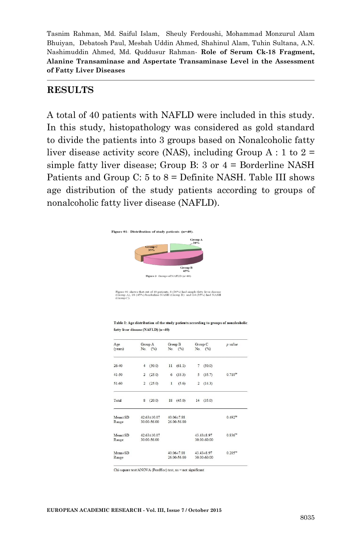### **RESULTS**

A total of 40 patients with NAFLD were included in this study. In this study, histopathology was considered as gold standard to divide the patients into 3 groups based on Nonalcoholic fatty liver disease activity score (NAS), including Group A : 1 to  $2 =$ simple fatty liver disease; Group B: 3 or 4 = Borderline NASH Patients and Group C:  $5$  to  $8 =$  Definite NASH. Table III shows age distribution of the study patients according to groups of nonalcoholic fatty liver disease (NAFLD).



Figure 01 shows that out of 40 patients, 8 (20%) had simple fatty liver disease<br>(Group A), 18 (45%) borderline NASH (Group B) and 14 (35%) had NASH<br>(Group C).

Table I: Age distribution of the study patients according to groups of nonalcoholic fatty liver disease (NAFLD) (n=40)

| Age<br>(years)         | Group A<br>No. (%)         |             | Group B<br>No. (%)        |             | Group C<br>No. (%) |                  | p value             |  |
|------------------------|----------------------------|-------------|---------------------------|-------------|--------------------|------------------|---------------------|--|
|                        |                            |             |                           |             |                    |                  |                     |  |
| $26 - 40$              | $\overline{4}$             | (50.0)      |                           | 11(61.1)    | 7                  | (50.0)           |                     |  |
| $41 - 50$              | $\overline{2}$             | (25.0)      | 6                         | (33.3)      | 5                  | (35.7)           | $0.710^{m}$         |  |
| $51 - 60$              | $\overline{2}$             | (25.0)      | $\mathbf{1}$              | (5.6)       | $\overline{2}$     | (14.3)           |                     |  |
| Total                  | 8                          | (20.0)      |                           | 18(45.0)    | 14                 | (35.0)           |                     |  |
| $Mean \pm SD$<br>Range | 42 63±10 07<br>30.00-56.00 |             | 40 06±7 88<br>26.00-56.00 |             |                    |                  | 0.492 <sup>ms</sup> |  |
| $Mean \pm SD$          |                            | 42 63±10 07 |                           |             |                    | 43 43±8 97       | $0.836^{m}$         |  |
| Range                  | 30.00-56.00                |             |                           |             | 30.00-60.00        |                  |                     |  |
| $Mean+SD$              |                            |             |                           | 40.06±7.88  |                    | $43.43 \pm 8.97$ | $0.285^{m}$         |  |
| Range                  |                            |             |                           | 26 00-56 00 |                    | 30 00-60 00      |                     |  |

Chi-square test/ANOVA (PostHoc) test, ns = not significant

**EUROPEAN ACADEMIC RESEARCH - Vol. III, Issue 7 / October 2015**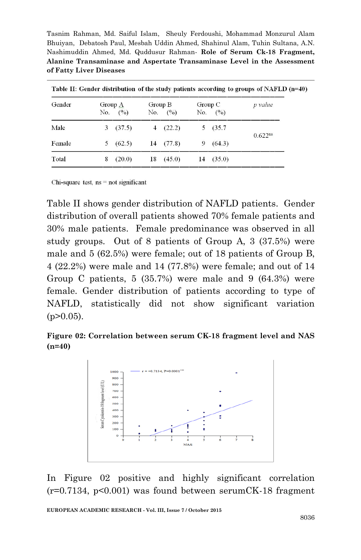| Table II: Gender distribution of the study patients according to groups of NAFLD $(n=40)$ |                   |                           |        |                                                 |                   |                |  |  |
|-------------------------------------------------------------------------------------------|-------------------|---------------------------|--------|-------------------------------------------------|-------------------|----------------|--|--|
|                                                                                           | (° <sub>0</sub> ) |                           |        |                                                 | (° <sub>0</sub> ) | p value        |  |  |
|                                                                                           |                   |                           |        | 5.                                              | (35.7)            | $0.622^{ns}$   |  |  |
| 5                                                                                         | (62.5)            |                           |        | 9                                               | (64.3)            |                |  |  |
| 8                                                                                         | (20.0)            | 18                        | (45.0) | 14                                              | (35.0)            |                |  |  |
|                                                                                           |                   | Group A<br>No.<br>3(37.5) |        | Group B<br>No. $(%)$<br>4 $(22.2)$<br>14 (77.8) |                   | Group C<br>No. |  |  |

Chi-square test,  $ns = not$  significant

Table II shows gender distribution of NAFLD patients. Gender distribution of overall patients showed 70% female patients and 30% male patients. Female predominance was observed in all study groups. Out of 8 patients of Group A, 3 (37.5%) were male and 5 (62.5%) were female; out of 18 patients of Group B, 4 (22.2%) were male and 14 (77.8%) were female; and out of 14 Group C patients,  $5(35.7%)$  were male and 9  $(64.3%)$  were female. Gender distribution of patients according to type of NAFLD, statistically did not show significant variation  $(p>0.05)$ .

**Figure 02: Correlation between serum CK-18 fragment level and NAS (n=40)**



In Figure 02 positive and highly significant correlation  $(r=0.7134, p<0.001)$  was found between serumCK-18 fragment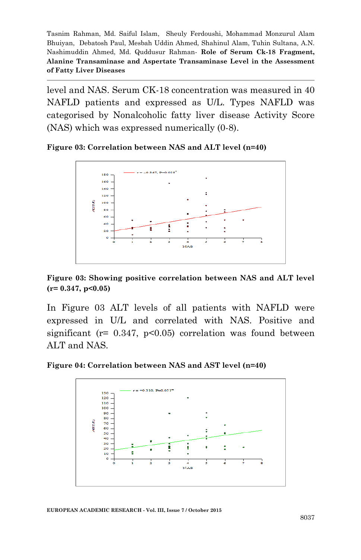level and NAS. Serum CK-18 concentration was measured in 40 NAFLD patients and expressed as U/L. Types NAFLD was categorised by Nonalcoholic fatty liver disease Activity Score (NAS) which was expressed numerically (0-8).

**Figure 03: Correlation between NAS and ALT level (n=40)**



**Figure 03: Showing positive correlation between NAS and ALT level (r= 0.347, p<0.05)**

In Figure 03 ALT levels of all patients with NAFLD were expressed in U/L and correlated with NAS. Positive and significant ( $r = 0.347$ ,  $p < 0.05$ ) correlation was found between ALT and NAS.

**Figure 04: Correlation between NAS and AST level (n=40)**

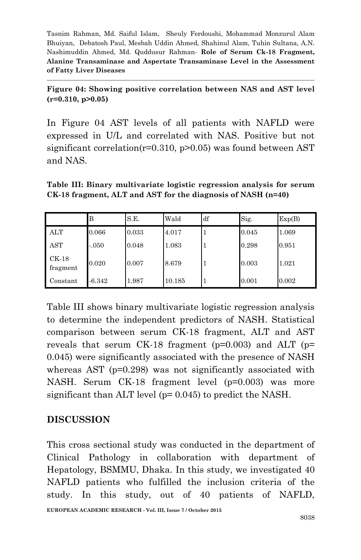**Figure 04: Showing positive correlation between NAS and AST level (r=0.310, p>0.05)**

In Figure 04 AST levels of all patients with NAFLD were expressed in U/L and correlated with NAS. Positive but not significant correlation( $r=0.310$ ,  $p>0.05$ ) was found between AST and NAS.

**Table III: Binary multivariate logistic regression analysis for serum CK-18 fragment, ALT and AST for the diagnosis of NASH (n=40)**

|                     | в        | S.E.  | Wald   | df | Sig.  | Exp(B) |
|---------------------|----------|-------|--------|----|-------|--------|
| ALT                 | 0.066    | 0.033 | 4.017  |    | 0.045 | 1.069  |
| AST                 | $-.050$  | 0.048 | 1.083  |    | 0.298 | 0.951  |
| $CK-18$<br>fragment | 0.020    | 0.007 | 8.679  |    | 0.003 | 1.021  |
| Constant            | $-6.342$ | 1.987 | 10.185 |    | 0.001 | 0.002  |

Table III shows binary multivariate logistic regression analysis to determine the independent predictors of NASH. Statistical comparison between serum CK-18 fragment, ALT and AST reveals that serum CK-18 fragment ( $p=0.003$ ) and ALT ( $p=$ 0.045) were significantly associated with the presence of NASH whereas AST (p=0.298) was not significantly associated with NASH. Serum CK-18 fragment level (p=0.003) was more significant than ALT level (p= 0.045) to predict the NASH.

## **DISCUSSION**

This cross sectional study was conducted in the department of Clinical Pathology in collaboration with department of Hepatology, BSMMU, Dhaka. In this study, we investigated 40 NAFLD patients who fulfilled the inclusion criteria of the study. In this study, out of 40 patients of NAFLD,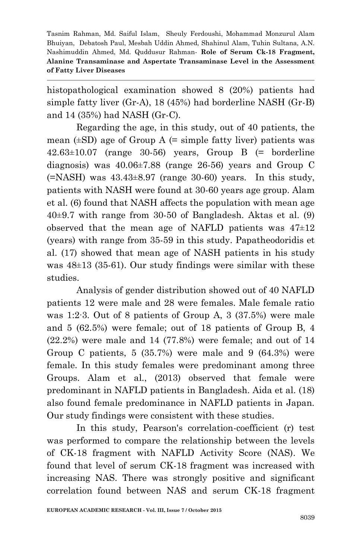histopathological examination showed 8 (20%) patients had simple fatty liver (Gr-A), 18 (45%) had borderline NASH (Gr-B) and 14 (35%) had NASH (Gr-C).

Regarding the age, in this study, out of 40 patients, the mean  $(\pm SD)$  age of Group A  $(=\text{simple fatty liver})$  patients was  $42.63\pm10.07$  (range 30-56) years, Group B  $(=$  borderline diagnosis) was 40.06±7.88 (range 26-56) years and Group C  $(=NASH)$  was  $43.43\pm8.97$  (range 30-60) years. In this study, patients with NASH were found at 30-60 years age group. Alam et al. (6) found that NASH affects the population with mean age 40±9.7 with range from 30-50 of Bangladesh. Aktas et al. (9) observed that the mean age of NAFLD patients was  $47\pm12$ (years) with range from 35-59 in this study. Papatheodoridis et al. (17) showed that mean age of NASH patients in his study was 48±13 (35-61). Our study findings were similar with these studies.

Analysis of gender distribution showed out of 40 NAFLD patients 12 were male and 28 were females. Male female ratio was 1:2∙3. Out of 8 patients of Group A, 3 (37.5%) were male and 5 (62.5%) were female; out of 18 patients of Group B, 4 (22.2%) were male and 14 (77.8%) were female; and out of 14 Group C patients,  $5(35.7%)$  were male and  $9(64.3%)$  were female. In this study females were predominant among three Groups. Alam et al., (2013) observed that female were predominant in NAFLD patients in Bangladesh. Aida et al. (18) also found female predominance in NAFLD patients in Japan. Our study findings were consistent with these studies.

In this study, Pearson's correlation-coefficient (r) test was performed to compare the relationship between the levels of CK-18 fragment with NAFLD Activity Score (NAS). We found that level of serum CK-18 fragment was increased with increasing NAS. There was strongly positive and significant correlation found between NAS and serum CK-18 fragment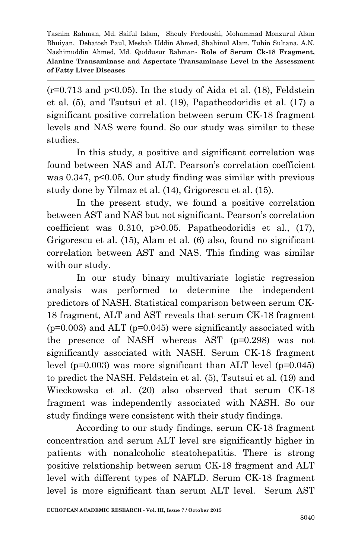$(r=0.713$  and  $p<0.05$ ). In the study of Aida et al. (18), Feldstein et al. (5), and Tsutsui et al. (19), Papatheodoridis et al. (17) a significant positive correlation between serum CK-18 fragment levels and NAS were found. So our study was similar to these studies.

In this study, a positive and significant correlation was found between NAS and ALT. Pearson's correlation coefficient was 0.347, p<0.05. Our study finding was similar with previous study done by Yilmaz et al. (14), Grigorescu et al. (15).

In the present study, we found a positive correlation between AST and NAS but not significant. Pearson's correlation coefficient was 0.310, p>0.05. Papatheodoridis et al., (17), Grigorescu et al. (15), Alam et al. (6) also, found no significant correlation between AST and NAS. This finding was similar with our study.

In our study binary multivariate logistic regression analysis was performed to determine the independent predictors of NASH. Statistical comparison between serum CK-18 fragment, ALT and AST reveals that serum CK-18 fragment  $(p=0.003)$  and ALT  $(p=0.045)$  were significantly associated with the presence of NASH whereas AST (p=0.298) was not significantly associated with NASH. Serum CK-18 fragment level ( $p=0.003$ ) was more significant than ALT level ( $p=0.045$ ) to predict the NASH. Feldstein et al. (5), Tsutsui et al. (19) and Wieckowska et al. (20) also observed that serum CK-18 fragment was independently associated with NASH. So our study findings were consistent with their study findings.

According to our study findings, serum CK-18 fragment concentration and serum ALT level are significantly higher in patients with nonalcoholic steatohepatitis. There is strong positive relationship between serum CK-18 fragment and ALT level with different types of NAFLD. Serum CK-18 fragment level is more significant than serum ALT level. Serum AST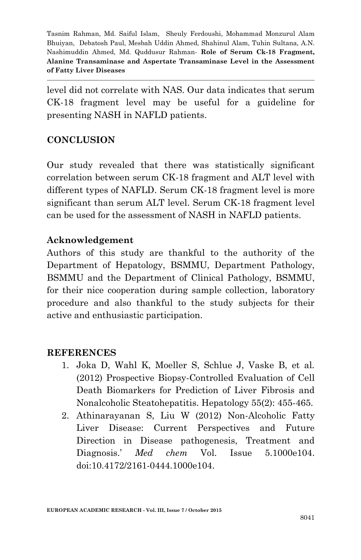level did not correlate with NAS. Our data indicates that serum CK-18 fragment level may be useful for a guideline for presenting NASH in NAFLD patients.

## **CONCLUSION**

Our study revealed that there was statistically significant correlation between serum CK-18 fragment and ALT level with different types of NAFLD. Serum CK-18 fragment level is more significant than serum ALT level. Serum CK-18 fragment level can be used for the assessment of NASH in NAFLD patients.

## **Acknowledgement**

Authors of this study are thankful to the authority of the Department of Hepatology, BSMMU, Department Pathology, BSMMU and the Department of Clinical Pathology, BSMMU, for their nice cooperation during sample collection, laboratory procedure and also thankful to the study subjects for their active and enthusiastic participation.

### **REFERENCES**

- 1. Joka D, Wahl K, Moeller S, Schlue J, Vaske B, et al. (2012) Prospective Biopsy-Controlled Evaluation of Cell Death Biomarkers for Prediction of Liver Fibrosis and Nonalcoholic Steatohepatitis. Hepatology 55(2): 455-465.
- 2. Athinarayanan S, Liu W (2012) Non-Alcoholic Fatty Liver Disease: Current Perspectives and Future Direction in Disease pathogenesis, Treatment and Diagnosis.' *Med chem* Vol. Issue 5.1000e104. doi:10.4172/2161-0444.1000e104.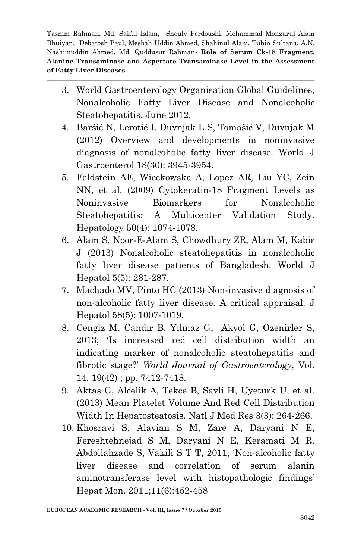- 3. World Gastroenterology Organisation Global Guidelines, Nonalcoholic Fatty Liver Disease and Nonalcoholic Steatohepatitis, June 2012.
- 4. Baršić N, Lerotić I, Duvnjak L S, Tomašić V, Duvnjak M (2012) Overview and developments in noninvasive diagnosis of nonalcoholic fatty liver disease. World J Gastroenterol 18(30): 3945-3954.
- 5. Feldstein AE, Wieckowska A, Lopez AR, Liu YC, Zein NN, et al. (2009) Cytokeratin-18 Fragment Levels as Noninvasive Biomarkers for Nonalcoholic Steatohepatitis: A Multicenter Validation Study. Hepatology 50(4): 1074-1078.
- 6. Alam S, Noor-E-Alam S, Chowdhury ZR, Alam M, Kabir J (2013) Nonalcoholic steatohepatitis in nonalcoholic fatty liver disease patients of Bangladesh. World J Hepatol 5(5): 281-287.
- 7. Machado MV, Pinto HC (2013) Non-invasive diagnosis of non-alcoholic fatty liver disease. A critical appraisal. J Hepatol 58(5): 1007-1019.
- 8. Cengiz M, Candır B, Yılmaz G, Akyol G, Ozenirler S, 2013, 'Is increased red cell distribution width an indicating marker of nonalcoholic steatohepatitis and fibrotic stage?' *World Journal of Gastroenterology*, Vol. 14, 19(42) ; pp. 7412-7418.
- 9. Aktas G, Alcelik A, Tekce B, Savli H, Uyeturk U, et al. (2013) Mean Platelet Volume And Red Cell Distribution Width In Hepatosteatosis. Natl J Med Res 3(3): 264-266.
- 10. Khosravi S, Alavian S M, Zare A, Daryani N E, Fereshtehnejad S M, Daryani N E, Keramati M R, Abdollahzade S, Vakili S T T, 2011, 'Non-alcoholic fatty liver disease and correlation of serum alanin aminotransferase level with histopathologic findings' Hepat Mon. 2011;11(6):452-458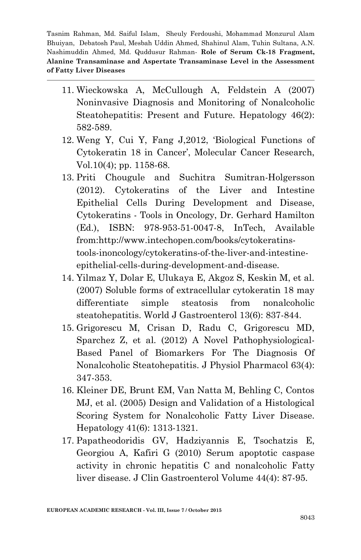- 11. Wieckowska A, McCullough A, Feldstein A (2007) Noninvasive Diagnosis and Monitoring of Nonalcoholic Steatohepatitis: Present and Future. Hepatology 46(2): 582-589.
- 12. Weng Y, Cui Y, Fang J,2012, 'Biological Functions of Cytokeratin 18 in Cancer', Molecular Cancer Research, Vol.10(4); pp. 1158-68.
- 13. Priti Chougule and Suchitra Sumitran-Holgersson (2012). Cytokeratins of the Liver and Intestine Epithelial Cells During Development and Disease, Cytokeratins - Tools in Oncology, Dr. Gerhard Hamilton (Ed.), ISBN: 978-953-51-0047-8, InTech, Available from:http://www.intechopen.com/books/cytokeratinstools-inoncology/cytokeratins-of-the-liver-and-intestineepithelial-cells-during-development-and-disease.
- 14. Yilmaz Y, Dolar E, Ulukaya E, Akgoz S, Keskin M, et al. (2007) Soluble forms of extracellular cytokeratin 18 may differentiate simple steatosis from nonalcoholic steatohepatitis. World J Gastroenterol 13(6): 837-844.
- 15. Grigorescu M, Crisan D, Radu C, Grigorescu MD, Sparchez Z, et al. (2012) A Novel Pathophysiological-Based Panel of Biomarkers For The Diagnosis Of Nonalcoholic Steatohepatitis. J Physiol Pharmacol 63(4): 347-353.
- 16. Kleiner DE, Brunt EM, Van Natta M, Behling C, Contos MJ, et al. (2005) Design and Validation of a Histological Scoring System for Nonalcoholic Fatty Liver Disease. Hepatology 41(6): 1313-1321.
- 17. Papatheodoridis GV, Hadziyannis E, Tsochatzis E, Georgiou A, Kafiri G (2010) Serum apoptotic caspase activity in chronic hepatitis C and nonalcoholic Fatty liver disease. J Clin Gastroenterol Volume 44(4): 87-95.